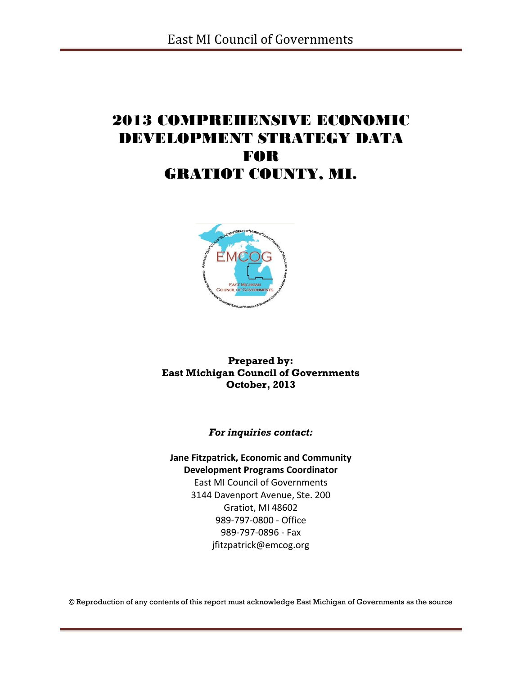# 2013 COMPREHENSIVE ECONOMIC DEVELOPMENT STRATEGY DATA FOR GRATIOT COUNTY, MI.



**Prepared by: East Michigan Council of Governments October, 2013**

*For inquiries contact:*

**Jane Fitzpatrick, Economic and Community Development Programs Coordinator** East MI Council of Governments 3144 Davenport Avenue, Ste. 200 Gratiot, MI 48602

989-797-0800 - Office 989-797-0896 - Fax jfitzpatrick@emcog.org

© Reproduction of any contents of this report must acknowledge East Michigan of Governments as the source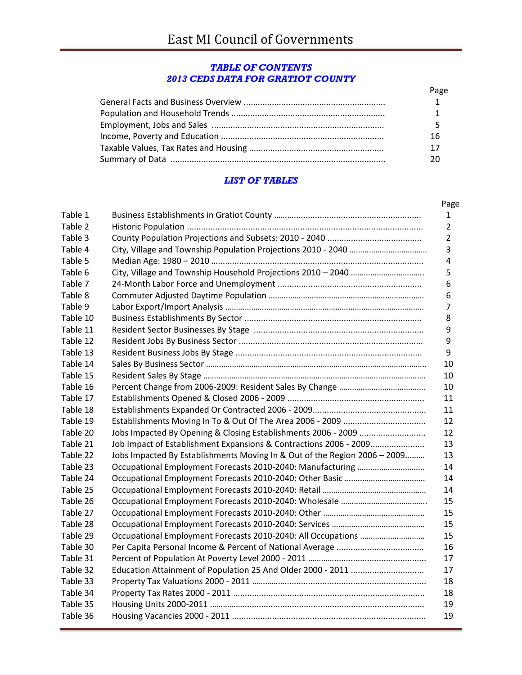### *TABLE OF CONTENTS 2013 CEDS DATA FOR GRATIOT COUNTY*

| Page |
|------|
|      |
|      |
|      |
| 16   |
| 17   |
|      |

## *LIST OF TABLES*

| Table 1  |                                                                           |
|----------|---------------------------------------------------------------------------|
| Table 2  |                                                                           |
| Table 3  |                                                                           |
| Table 4  |                                                                           |
| Table 5  |                                                                           |
| Table 6  |                                                                           |
| Table 7  |                                                                           |
| Table 8  |                                                                           |
| Table 9  |                                                                           |
| Table 10 |                                                                           |
| Table 11 |                                                                           |
| Table 12 |                                                                           |
| Table 13 |                                                                           |
| Table 14 |                                                                           |
| Table 15 |                                                                           |
| Table 16 |                                                                           |
| Table 17 |                                                                           |
| Table 18 |                                                                           |
| Table 19 |                                                                           |
| Table 20 |                                                                           |
| Table 21 | Job Impact of Establishment Expansions & Contractions 2006 - 2009         |
| Table 22 | Jobs Impacted By Establishments Moving In & Out of the Region 2006 - 2009 |
| Table 23 |                                                                           |
| Table 24 |                                                                           |
| Table 25 |                                                                           |
| Table 26 |                                                                           |
| Table 27 |                                                                           |
| Table 28 |                                                                           |
| Table 29 |                                                                           |
| Table 30 |                                                                           |
| Table 31 |                                                                           |
| Table 32 |                                                                           |
| Table 33 |                                                                           |
| Table 34 |                                                                           |
| Table 35 |                                                                           |
| Table 36 |                                                                           |
|          |                                                                           |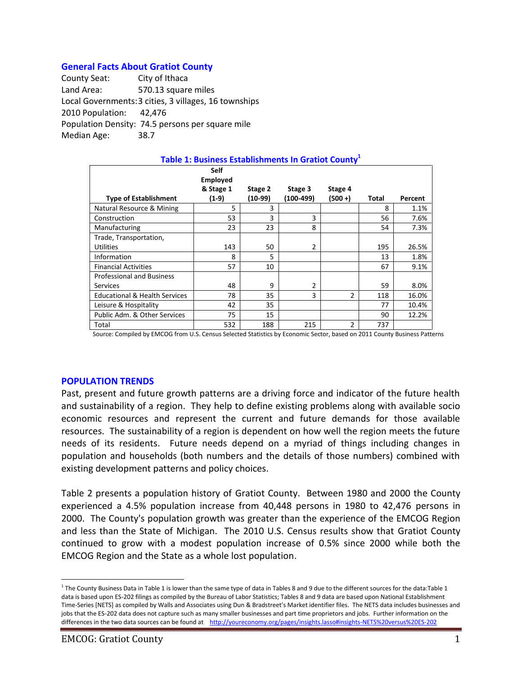## **General Facts About Gratiot County**

County Seat: City of Ithaca Land Area: 570.13 square miles Local Governments:3 cities, 3 villages, 16 townships 2010 Population: 42,476 Population Density: 74.5 persons per square mile Median Age: 38.7

| Table 1: Business Establishments In Gratiot County <sup>1</sup> |                                |         |           |               |       |         |  |  |  |
|-----------------------------------------------------------------|--------------------------------|---------|-----------|---------------|-------|---------|--|--|--|
|                                                                 | <b>Self</b><br><b>Employed</b> |         |           |               |       |         |  |  |  |
|                                                                 | & Stage 1                      | Stage 2 | Stage 3   | Stage 4       |       |         |  |  |  |
| <b>Type of Establishment</b>                                    | (1-9)                          | (10-99) | (100-499) | (500 +)       | Total | Percent |  |  |  |
| Natural Resource & Mining                                       | 5                              | 3       |           |               | 8     | 1.1%    |  |  |  |
| Construction                                                    | 53                             | 3       | 3         |               | 56    | 7.6%    |  |  |  |
| Manufacturing                                                   | 23                             | 23      | 8         |               | 54    | 7.3%    |  |  |  |
| Trade, Transportation,                                          |                                |         |           |               |       |         |  |  |  |
| <b>Utilities</b>                                                | 143                            | 50      | 2         |               | 195   | 26.5%   |  |  |  |
| Information                                                     | 8                              | 5       |           |               | 13    | 1.8%    |  |  |  |
| <b>Financial Activities</b>                                     | 57                             | 10      |           |               | 67    | 9.1%    |  |  |  |
| <b>Professional and Business</b>                                |                                |         |           |               |       |         |  |  |  |
| <b>Services</b>                                                 | 48                             | 9       | 2         |               | 59    | 8.0%    |  |  |  |
| <b>Educational &amp; Health Services</b>                        | 78                             | 35      | 3         | $\mathcal{P}$ | 118   | 16.0%   |  |  |  |
| Leisure & Hospitality                                           | 42                             | 35      |           |               | 77    | 10.4%   |  |  |  |
| Public Adm. & Other Services                                    | 75                             | 15      |           |               | 90    | 12.2%   |  |  |  |
| Total                                                           | 532                            | 188     | 215       | $\mathfrak z$ | 737   |         |  |  |  |

Source: Compiled by EMCOG from U.S. Census Selected Statistics by Economic Sector, based on 2011 County Business Patterns

#### **POPULATION TRENDS**

Past, present and future growth patterns are a driving force and indicator of the future health and sustainability of a region. They help to define existing problems along with available socio economic resources and represent the current and future demands for those available resources. The sustainability of a region is dependent on how well the region meets the future needs of its residents. Future needs depend on a myriad of things including changes in population and households (both numbers and the details of those numbers) combined with existing development patterns and policy choices.

Table 2 presents a population history of Gratiot County. Between 1980 and 2000 the County experienced a 4.5% population increase from 40,448 persons in 1980 to 42,476 persons in 2000. The County's population growth was greater than the experience of the EMCOG Region and less than the State of Michigan. The 2010 U.S. Census results show that Gratiot County continued to grow with a modest population increase of 0.5% since 2000 while both the EMCOG Region and the State as a whole lost population.

 $\overline{a}$ 

<sup>&</sup>lt;sup>1</sup> The County Business Data in Table 1 is lower than the same type of data in Tables 8 and 9 due to the different sources for the data:Table 1 data is based upon ES-202 filings as compiled by the Bureau of Labor Statistics; Tables 8 and 9 data are based upon National Establishment Time-Series [NETS] as compiled by Walls and Associates using Dun & Bradstreet's Market identifier files. The NETS data includes businesses and jobs that the ES-202 data does not capture such as many smaller businesses and part time proprietors and jobs. Further information on the differences in the two data sources can be found at <http://youreconomy.org/pages/insights.lasso#insights-NETS%20versus%20ES-202>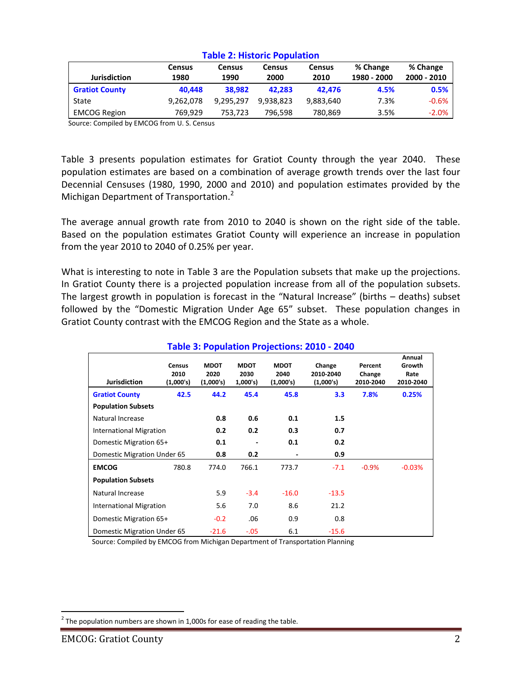|                       | <b>Census</b> | <b>Census</b> | <b>Census</b> | <b>Census</b> | % Change    | % Change    |  |  |
|-----------------------|---------------|---------------|---------------|---------------|-------------|-------------|--|--|
| <b>Jurisdiction</b>   | 1980          | 1990          | 2000          | 2010          | 1980 - 2000 | 2000 - 2010 |  |  |
| <b>Gratiot County</b> | 40.448        | 38.982        | 42.283        | 42.476        | 4.5%        | 0.5%        |  |  |
| State                 | 9,262,078     | 9.295.297     | 9.938.823     | 9,883,640     | 7.3%        | $-0.6%$     |  |  |
| <b>EMCOG Region</b>   | 769.929       | 753,723       | 796,598       | 780,869       | 3.5%        | $-2.0%$     |  |  |

#### **Table 2: Historic Population**

Source: Compiled by EMCOG from U. S. Census

Table 3 presents population estimates for Gratiot County through the year 2040. These population estimates are based on a combination of average growth trends over the last four Decennial Censuses (1980, 1990, 2000 and 2010) and population estimates provided by the Michigan Department of Transportation.<sup>2</sup>

The average annual growth rate from 2010 to 2040 is shown on the right side of the table. Based on the population estimates Gratiot County will experience an increase in population from the year 2010 to 2040 of 0.25% per year.

What is interesting to note in Table 3 are the Population subsets that make up the projections. In Gratiot County there is a projected population increase from all of the population subsets. The largest growth in population is forecast in the "Natural Increase" (births – deaths) subset followed by the "Domestic Migration Under Age 65" subset. These population changes in Gratiot County contrast with the EMCOG Region and the State as a whole.

| <b>Jurisdiction</b>            | <b>Census</b><br>2010<br>(1,000's) | <b>MDOT</b><br>2020<br>(1,000's) | <b>MDOT</b><br>2030<br>1,000's) | <b>MDOT</b><br>2040<br>(1,000's) | Change<br>2010-2040<br>(1,000's) | Percent<br>Change<br>2010-2040 | Annual<br>Growth<br>Rate<br>2010-2040 |
|--------------------------------|------------------------------------|----------------------------------|---------------------------------|----------------------------------|----------------------------------|--------------------------------|---------------------------------------|
| <b>Gratiot County</b>          | 42.5                               | 44.2                             | 45.4                            | 45.8                             | 3.3                              | 7.8%                           | 0.25%                                 |
| <b>Population Subsets</b>      |                                    |                                  |                                 |                                  |                                  |                                |                                       |
| Natural Increase               |                                    | 0.8                              | 0.6                             | 0.1                              | 1.5                              |                                |                                       |
| <b>International Migration</b> |                                    | 0.2                              | 0.2                             | 0.3                              | 0.7                              |                                |                                       |
| Domestic Migration 65+         |                                    | 0.1                              |                                 | 0.1                              | 0.2                              |                                |                                       |
| Domestic Migration Under 65    |                                    | 0.8                              | 0.2                             |                                  | 0.9                              |                                |                                       |
| <b>EMCOG</b>                   | 780.8                              | 774.0                            | 766.1                           | 773.7                            | $-7.1$                           | $-0.9%$                        | $-0.03%$                              |
| <b>Population Subsets</b>      |                                    |                                  |                                 |                                  |                                  |                                |                                       |
| Natural Increase               |                                    | 5.9                              | $-3.4$                          | $-16.0$                          | $-13.5$                          |                                |                                       |
| <b>International Migration</b> |                                    | 5.6                              | 7.0                             | 8.6                              | 21.2                             |                                |                                       |
| Domestic Migration 65+         |                                    | $-0.2$                           | .06                             | 0.9                              | 0.8                              |                                |                                       |
| Domestic Migration Under 65    |                                    | $-21.6$                          | $-.05$                          | 6.1                              | $-15.6$                          |                                |                                       |

## **Table 3: Population Projections: 2010 - 2040**

Source: Compiled by EMCOG from Michigan Department of Transportation Planning

 $\overline{a}$ 

 $^{2}$  The population numbers are shown in 1,000s for ease of reading the table.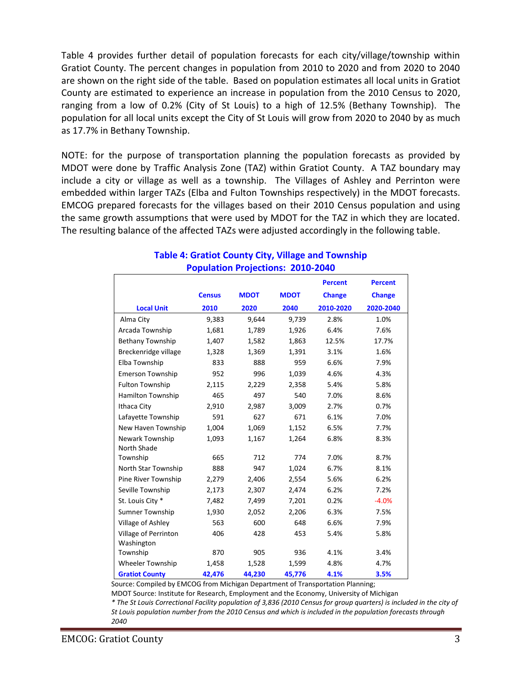Table 4 provides further detail of population forecasts for each city/village/township within Gratiot County. The percent changes in population from 2010 to 2020 and from 2020 to 2040 are shown on the right side of the table. Based on population estimates all local units in Gratiot County are estimated to experience an increase in population from the 2010 Census to 2020, ranging from a low of 0.2% (City of St Louis) to a high of 12.5% (Bethany Township). The population for all local units except the City of St Louis will grow from 2020 to 2040 by as much as 17.7% in Bethany Township.

NOTE: for the purpose of transportation planning the population forecasts as provided by MDOT were done by Traffic Analysis Zone (TAZ) within Gratiot County. A TAZ boundary may include a city or village as well as a township. The Villages of Ashley and Perrinton were embedded within larger TAZs (Elba and Fulton Townships respectively) in the MDOT forecasts. EMCOG prepared forecasts for the villages based on their 2010 Census population and using the same growth assumptions that were used by MDOT for the TAZ in which they are located. The resulting balance of the affected TAZs were adjusted accordingly in the following table.

|                                |               |             |             | <b>Percent</b> | <b>Percent</b> |
|--------------------------------|---------------|-------------|-------------|----------------|----------------|
|                                | <b>Census</b> | <b>MDOT</b> | <b>MDOT</b> | <b>Change</b>  | <b>Change</b>  |
| <b>Local Unit</b>              | 2010          | 2020        | 2040        | 2010-2020      | 2020-2040      |
| Alma City                      | 9,383         | 9,644       | 9,739       | 2.8%           | 1.0%           |
| Arcada Township                | 1,681         | 1,789       | 1,926       | 6.4%           | 7.6%           |
| Bethany Township               | 1,407         | 1,582       | 1,863       | 12.5%          | 17.7%          |
| Breckenridge village           | 1,328         | 1,369       | 1,391       | 3.1%           | 1.6%           |
| Elba Township                  | 833           | 888         | 959         | 6.6%           | 7.9%           |
| <b>Emerson Township</b>        | 952           | 996         | 1,039       | 4.6%           | 4.3%           |
| <b>Fulton Township</b>         | 2,115         | 2,229       | 2,358       | 5.4%           | 5.8%           |
| Hamilton Township              | 465           | 497         | 540         | 7.0%           | 8.6%           |
| Ithaca City                    | 2,910         | 2,987       | 3,009       | 2.7%           | 0.7%           |
| Lafayette Township             | 591           | 627         | 671         | 6.1%           | 7.0%           |
| New Haven Township             | 1,004         | 1,069       | 1,152       | 6.5%           | 7.7%           |
| Newark Township<br>North Shade | 1,093         | 1,167       | 1,264       | 6.8%           | 8.3%           |
| Township                       | 665           | 712         | 774         | 7.0%           | 8.7%           |
| North Star Township            | 888           | 947         | 1,024       | 6.7%           | 8.1%           |
| Pine River Township            | 2,279         | 2,406       | 2,554       | 5.6%           | 6.2%           |
| Seville Township               | 2,173         | 2,307       | 2,474       | 6.2%           | 7.2%           |
| St. Louis City *               | 7,482         | 7,499       | 7,201       | 0.2%           | $-4.0%$        |
| <b>Sumner Township</b>         | 1,930         | 2,052       | 2,206       | 6.3%           | 7.5%           |
| Village of Ashley              | 563           | 600         | 648         | 6.6%           | 7.9%           |
| Village of Perrinton           | 406           | 428         | 453         | 5.4%           | 5.8%           |
| Washington<br>Township         | 870           | 905         | 936         | 4.1%           | 3.4%           |
| <b>Wheeler Township</b>        | 1,458         | 1,528       | 1,599       | 4.8%           | 4.7%           |
| <b>Gratiot County</b>          | 42,476        | 44,230      | 45,776      | 4.1%           | 3.5%           |
|                                |               |             |             |                |                |

## **Table 4: Gratiot County City, Village and Township Population Projections: 2010-2040**

Source: Compiled by EMCOG from Michigan Department of Transportation Planning;

MDOT Source: Institute for Research, Employment and the Economy, University of Michigan

*\* The St Louis Correctional Facility population of 3,836 (2010 Census for group quarters) is included in the city of St Louis population number from the 2010 Census and which is included in the population forecasts through 2040*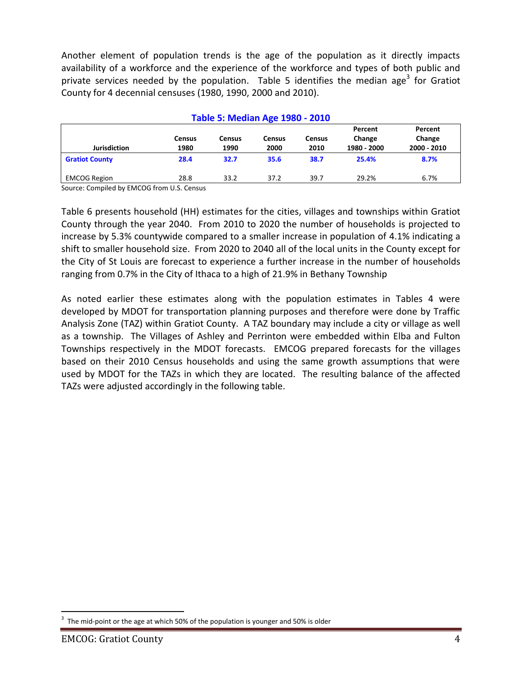Another element of population trends is the age of the population as it directly impacts availability of a workforce and the experience of the workforce and types of both public and private services needed by the population. Table 5 identifies the median age<sup>3</sup> for Gratiot County for 4 decennial censuses (1980, 1990, 2000 and 2010).

| <b>Table 5: Median Age 1980 - 2010</b> |                       |                       |                |                       |                                  |                                  |  |  |
|----------------------------------------|-----------------------|-----------------------|----------------|-----------------------|----------------------------------|----------------------------------|--|--|
| <b>Jurisdiction</b>                    | <b>Census</b><br>1980 | <b>Census</b><br>1990 | Census<br>2000 | <b>Census</b><br>2010 | Percent<br>Change<br>1980 - 2000 | Percent<br>Change<br>2000 - 2010 |  |  |
| <b>Gratiot County</b>                  | 28.4                  | 32.7                  | 35.6           | 38.7                  | 25.4%                            | 8.7%                             |  |  |
| <b>EMCOG Region</b>                    | 28.8                  | 33.2                  | 37.2           | 39.7                  | 29.2%                            | 6.7%                             |  |  |

Source: Compiled by EMCOG from U.S. Census

Table 6 presents household (HH) estimates for the cities, villages and townships within Gratiot County through the year 2040. From 2010 to 2020 the number of households is projected to increase by 5.3% countywide compared to a smaller increase in population of 4.1% indicating a shift to smaller household size. From 2020 to 2040 all of the local units in the County except for the City of St Louis are forecast to experience a further increase in the number of households ranging from 0.7% in the City of Ithaca to a high of 21.9% in Bethany Township

As noted earlier these estimates along with the population estimates in Tables 4 were developed by MDOT for transportation planning purposes and therefore were done by Traffic Analysis Zone (TAZ) within Gratiot County. A TAZ boundary may include a city or village as well as a township. The Villages of Ashley and Perrinton were embedded within Elba and Fulton Townships respectively in the MDOT forecasts. EMCOG prepared forecasts for the villages based on their 2010 Census households and using the same growth assumptions that were used by MDOT for the TAZs in which they are located. The resulting balance of the affected TAZs were adjusted accordingly in the following table.

 $\overline{a}$ 

<sup>3</sup> The mid-point or the age at which 50% of the population is younger and 50% is older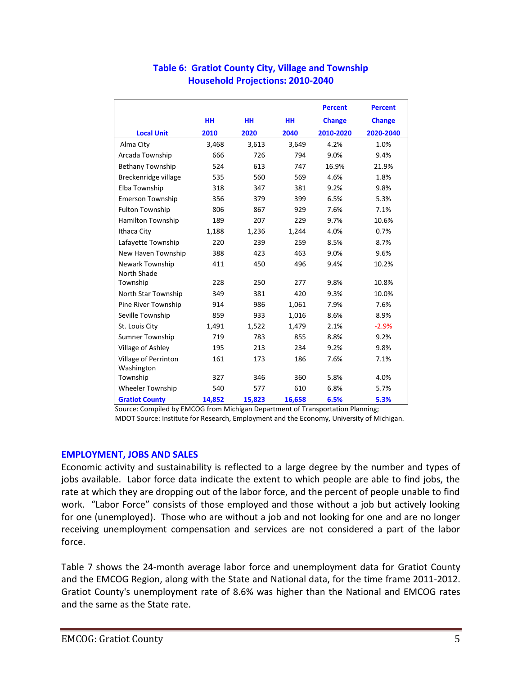|                         |           |           |           | <b>Percent</b> | <b>Percent</b> |
|-------------------------|-----------|-----------|-----------|----------------|----------------|
|                         | <b>HH</b> | <b>HH</b> | <b>HH</b> | <b>Change</b>  | <b>Change</b>  |
| <b>Local Unit</b>       | 2010      | 2020      | 2040      | 2010-2020      | 2020-2040      |
| Alma City               | 3,468     | 3,613     | 3,649     | 4.2%           | 1.0%           |
| Arcada Township         | 666       | 726       | 794       | 9.0%           | 9.4%           |
| <b>Bethany Township</b> | 524       | 613       | 747       | 16.9%          | 21.9%          |
| Breckenridge village    | 535       | 560       | 569       | 4.6%           | 1.8%           |
| Elba Township           | 318       | 347       | 381       | 9.2%           | 9.8%           |
| <b>Emerson Township</b> | 356       | 379       | 399       | 6.5%           | 5.3%           |
| <b>Fulton Township</b>  | 806       | 867       | 929       | 7.6%           | 7.1%           |
| Hamilton Township       | 189       | 207       | 229       | 9.7%           | 10.6%          |
| Ithaca City             | 1,188     | 1,236     | 1,244     | 4.0%           | 0.7%           |
| Lafayette Township      | 220       | 239       | 259       | 8.5%           | 8.7%           |
| New Haven Township      | 388       | 423       | 463       | 9.0%           | 9.6%           |
| Newark Township         | 411       | 450       | 496       | 9.4%           | 10.2%          |
| <b>North Shade</b>      |           |           |           |                |                |
| Township                | 228       | 250       | 277       | 9.8%           | 10.8%          |
| North Star Township     | 349       | 381       | 420       | 9.3%           | 10.0%          |
| Pine River Township     | 914       | 986       | 1,061     | 7.9%           | 7.6%           |
| Seville Township        | 859       | 933       | 1,016     | 8.6%           | 8.9%           |
| St. Louis City          | 1,491     | 1,522     | 1,479     | 2.1%           | $-2.9%$        |
| <b>Sumner Township</b>  | 719       | 783       | 855       | 8.8%           | 9.2%           |
| Village of Ashley       | 195       | 213       | 234       | 9.2%           | 9.8%           |
| Village of Perrinton    | 161       | 173       | 186       | 7.6%           | 7.1%           |
| Washington              |           |           |           |                |                |
| Township                | 327       | 346       | 360       | 5.8%           | 4.0%           |
| <b>Wheeler Township</b> | 540       | 577       | 610       | 6.8%           | 5.7%           |
| <b>Gratiot County</b>   | 14,852    | 15,823    | 16,658    | 6.5%           | 5.3%           |

## **Table 6: Gratiot County City, Village and Township Household Projections: 2010-2040**

Source: Compiled by EMCOG from Michigan Department of Transportation Planning; MDOT Source: Institute for Research, Employment and the Economy, University of Michigan.

## **EMPLOYMENT, JOBS AND SALES**

Economic activity and sustainability is reflected to a large degree by the number and types of jobs available. Labor force data indicate the extent to which people are able to find jobs, the rate at which they are dropping out of the labor force, and the percent of people unable to find work. "Labor Force" consists of those employed and those without a job but actively looking for one (unemployed). Those who are without a job and not looking for one and are no longer receiving unemployment compensation and services are not considered a part of the labor force.

Table 7 shows the 24-month average labor force and unemployment data for Gratiot County and the EMCOG Region, along with the State and National data, for the time frame 2011-2012. Gratiot County's unemployment rate of 8.6% was higher than the National and EMCOG rates and the same as the State rate.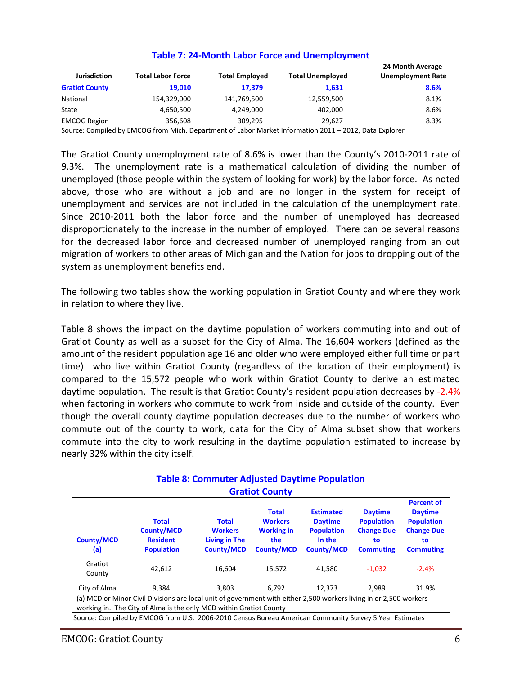| <b>Jurisdiction</b>   | <b>Total Labor Force</b> | <b>Total Employed</b> | <b>Total Unemployed</b> | 24 Month Average<br><b>Unemployment Rate</b> |
|-----------------------|--------------------------|-----------------------|-------------------------|----------------------------------------------|
| <b>Gratiot County</b> | 19.010                   | 17.379                | 1,631                   | 8.6%                                         |
| National              | 154,329,000              | 141,769,500           | 12,559,500              | 8.1%                                         |
| State                 | 4,650,500                | 4,249,000             | 402.000                 | 8.6%                                         |
| <b>EMCOG Region</b>   | 356.608                  | 309,295               | 29.627                  | 8.3%                                         |

## **Table 7: 24-Month Labor Force and Unemployment**

Source: Compiled by EMCOG from Mich. Department of Labor Market Information 2011 – 2012, Data Explorer

The Gratiot County unemployment rate of 8.6% is lower than the County's 2010-2011 rate of 9.3%. The unemployment rate is a mathematical calculation of dividing the number of unemployed (those people within the system of looking for work) by the labor force. As noted above, those who are without a job and are no longer in the system for receipt of unemployment and services are not included in the calculation of the unemployment rate. Since 2010-2011 both the labor force and the number of unemployed has decreased disproportionately to the increase in the number of employed. There can be several reasons for the decreased labor force and decreased number of unemployed ranging from an out migration of workers to other areas of Michigan and the Nation for jobs to dropping out of the system as unemployment benefits end.

The following two tables show the working population in Gratiot County and where they work in relation to where they live.

Table 8 shows the impact on the daytime population of workers commuting into and out of Gratiot County as well as a subset for the City of Alma. The 16,604 workers (defined as the amount of the resident population age 16 and older who were employed either full time or part time) who live within Gratiot County (regardless of the location of their employment) is compared to the 15,572 people who work within Gratiot County to derive an estimated daytime population. The result is that Gratiot County's resident population decreases by -2.4% when factoring in workers who commute to work from inside and outside of the county. Even though the overall county daytime population decreases due to the number of workers who commute out of the county to work, data for the City of Alma subset show that workers commute into the city to work resulting in the daytime population estimated to increase by nearly 32% within the city itself.

| <b>County/MCD</b><br>(a)                                                                                                                                                                 | <b>Total</b><br><b>County/MCD</b><br><b>Resident</b><br><b>Population</b> | <b>Total</b><br><b>Workers</b><br><b>Living in The</b><br><b>County/MCD</b> | <b>Total</b><br><b>Workers</b><br><b>Working in</b><br>the<br><b>County/MCD</b> | <b>Estimated</b><br><b>Daytime</b><br><b>Population</b><br>In the<br><b>County/MCD</b> | <b>Daytime</b><br><b>Population</b><br><b>Change Due</b><br>to<br><b>Commuting</b> | <b>Percent of</b><br><b>Daytime</b><br><b>Population</b><br><b>Change Due</b><br>to<br><b>Commuting</b> |  |
|------------------------------------------------------------------------------------------------------------------------------------------------------------------------------------------|---------------------------------------------------------------------------|-----------------------------------------------------------------------------|---------------------------------------------------------------------------------|----------------------------------------------------------------------------------------|------------------------------------------------------------------------------------|---------------------------------------------------------------------------------------------------------|--|
| Gratiot<br>County                                                                                                                                                                        | 42.612                                                                    | 16.604                                                                      | 15.572                                                                          | 41.580                                                                                 | $-1.032$                                                                           | $-2.4%$                                                                                                 |  |
| City of Alma                                                                                                                                                                             | 9.384                                                                     | 3.803                                                                       | 6.792                                                                           | 12.373                                                                                 | 2.989                                                                              | 31.9%                                                                                                   |  |
| (a) MCD or Minor Civil Divisions are local unit of government with either 2,500 workers living in or 2,500 workers<br>working in. The City of Alma is the only MCD within Gratiot County |                                                                           |                                                                             |                                                                                 |                                                                                        |                                                                                    |                                                                                                         |  |

## **Table 8: Commuter Adjusted Daytime Population Gratiot County**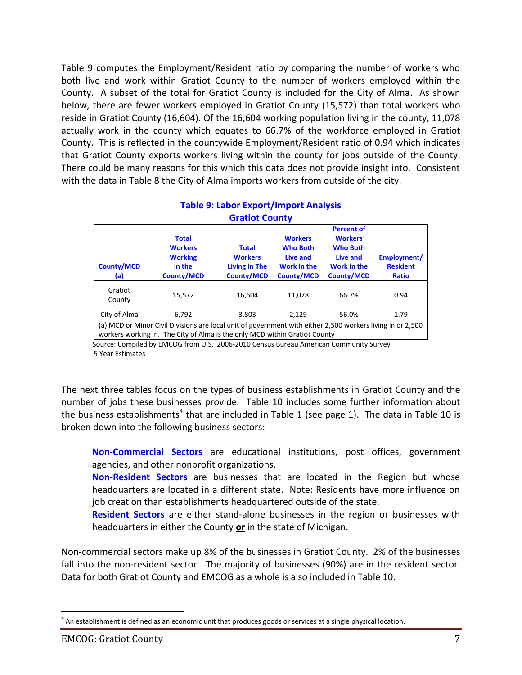Table 9 computes the Employment/Resident ratio by comparing the number of workers who both live and work within Gratiot County to the number of workers employed within the County. A subset of the total for Gratiot County is included for the City of Alma. As shown below, there are fewer workers employed in Gratiot County (15,572) than total workers who reside in Gratiot County (16,604). Of the 16,604 working population living in the county, 11,078 actually work in the county which equates to 66.7% of the workforce employed in Gratiot County. This is reflected in the countywide Employment/Resident ratio of 0.94 which indicates that Gratiot County exports workers living within the county for jobs outside of the County. There could be many reasons for this which this data does not provide insight into. Consistent with the data in Table 8 the City of Alma imports workers from outside of the city.

| <b>Gratiot County</b>                                                                                                                                                                    |                                                                                 |                                                                      |                                                                                          |                                                                                                               |                                                |  |  |  |
|------------------------------------------------------------------------------------------------------------------------------------------------------------------------------------------|---------------------------------------------------------------------------------|----------------------------------------------------------------------|------------------------------------------------------------------------------------------|---------------------------------------------------------------------------------------------------------------|------------------------------------------------|--|--|--|
| <b>County/MCD</b><br>(a)                                                                                                                                                                 | <b>Total</b><br><b>Workers</b><br><b>Working</b><br>in the<br><b>County/MCD</b> | <b>Total</b><br><b>Workers</b><br>Living in The<br><b>County/MCD</b> | <b>Workers</b><br><b>Who Both</b><br>Live and<br><b>Work in the</b><br><b>County/MCD</b> | <b>Percent of</b><br><b>Workers</b><br><b>Who Both</b><br>Live and<br><b>Work in the</b><br><b>County/MCD</b> | Employment/<br><b>Resident</b><br><b>Ratio</b> |  |  |  |
| Gratiot<br>County<br>City of Alma                                                                                                                                                        | 15.572<br>6,792                                                                 | 16.604<br>3,803                                                      | 11.078<br>2,129                                                                          | 66.7%<br>56.0%                                                                                                | 0.94<br>1.79                                   |  |  |  |
| (a) MCD or Minor Civil Divisions are local unit of government with either 2,500 workers living in or 2,500<br>workers working in. The City of Alma is the only MCD within Gratiot County |                                                                                 |                                                                      |                                                                                          |                                                                                                               |                                                |  |  |  |

# **Table 9: Labor Export/Import Analysis**

 Source: Compiled by EMCOG from U.S. 2006-2010 Census Bureau American Community Survey 5 Year Estimates

The next three tables focus on the types of business establishments in Gratiot County and the number of jobs these businesses provide. Table 10 includes some further information about the business establishments<sup>4</sup> that are included in Table 1 (see page 1). The data in Table 10 is broken down into the following business sectors:

**Non-Commercial Sectors** are educational institutions, post offices, government agencies, and other nonprofit organizations.

**Non-Resident Sectors** are businesses that are located in the Region but whose headquarters are located in a different state. Note: Residents have more influence on job creation than establishments headquartered outside of the state.

**Resident Sectors** are either stand-alone businesses in the region or businesses with headquarters in either the County **or** in the state of Michigan.

Non-commercial sectors make up 8% of the businesses in Gratiot County. 2% of the businesses fall into the non-resident sector. The majority of businesses (90%) are in the resident sector. Data for both Gratiot County and EMCOG as a whole is also included in Table 10.

 $\overline{a}$  $<sup>4</sup>$  An establishment is defined as an economic unit that produces goods or services at a single physical location.</sup>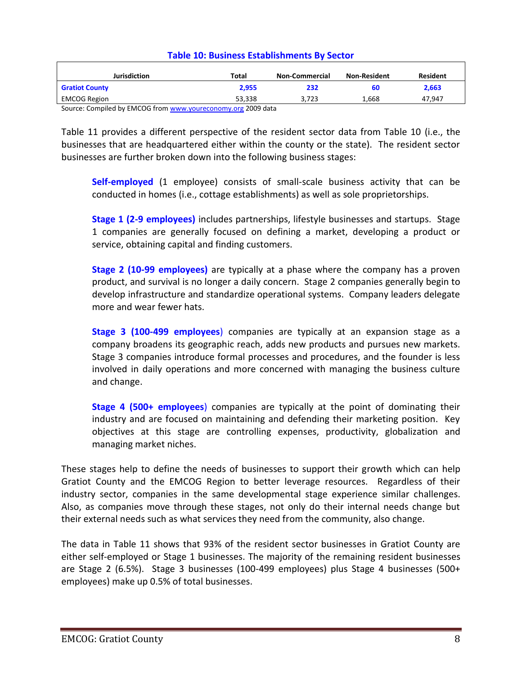| <b>Jurisdiction</b>                                          | Total  | <b>Non-Commercial</b> | <b>Non-Resident</b> | <b>Resident</b> |  |  |  |
|--------------------------------------------------------------|--------|-----------------------|---------------------|-----------------|--|--|--|
| <b>Gratiot County</b>                                        | 2.955  | 232                   | 60                  | 2.663           |  |  |  |
| <b>EMCOG Region</b>                                          | 53.338 | 3.723                 | 1.668               | 47.947          |  |  |  |
| Source: Compiled by EMCOG from www.voureconomy.org 2009 data |        |                       |                     |                 |  |  |  |

#### **Table 10: Business Establishments By Sector**

Source: Compiled by EMCOG from <u>www.youreconomy.org</u> 2009 dat

Table 11 provides a different perspective of the resident sector data from Table 10 (i.e., the businesses that are headquartered either within the county or the state). The resident sector businesses are further broken down into the following business stages:

**Self-employed** (1 employee) consists of small-scale business activity that can be conducted in homes (i.e., cottage establishments) as well as sole proprietorships.

**Stage 1 (2-9 employees)** includes partnerships, lifestyle businesses and startups. Stage 1 companies are generally focused on defining a market, developing a product or service, obtaining capital and finding customers.

**Stage 2 (10-99 employees)** are typically at a phase where the company has a proven product, and survival is no longer a daily concern. Stage 2 companies generally begin to develop infrastructure and standardize operational systems. Company leaders delegate more and wear fewer hats.

**Stage 3 (100-499 employees**) companies are typically at an expansion stage as a company broadens its geographic reach, adds new products and pursues new markets. Stage 3 companies introduce formal processes and procedures, and the founder is less involved in daily operations and more concerned with managing the business culture and change.

**Stage 4 (500+ employees**) companies are typically at the point of dominating their industry and are focused on maintaining and defending their marketing position. Key objectives at this stage are controlling expenses, productivity, globalization and managing market niches.

These stages help to define the needs of businesses to support their growth which can help Gratiot County and the EMCOG Region to better leverage resources. Regardless of their industry sector, companies in the same developmental stage experience similar challenges. Also, as companies move through these stages, not only do their internal needs change but their external needs such as what services they need from the community, also change.

The data in Table 11 shows that 93% of the resident sector businesses in Gratiot County are either self-employed or Stage 1 businesses. The majority of the remaining resident businesses are Stage 2 (6.5%). Stage 3 businesses (100-499 employees) plus Stage 4 businesses (500+ employees) make up 0.5% of total businesses.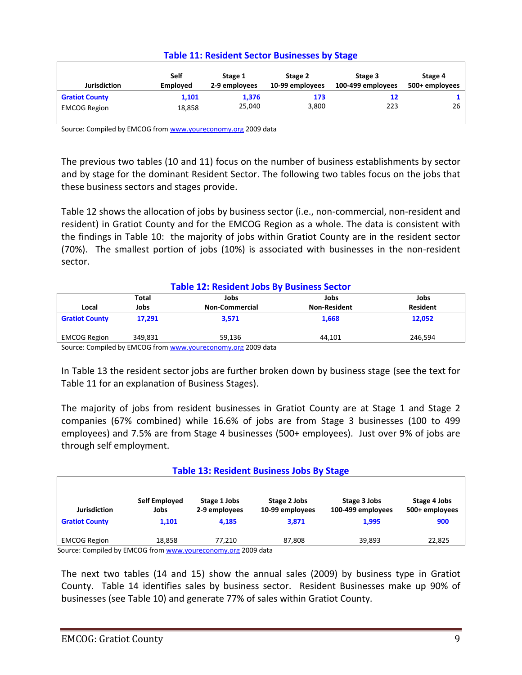| <b>Table 11: Resident Sector Businesses by Stage</b> |  |  |
|------------------------------------------------------|--|--|
|------------------------------------------------------|--|--|

| <b>Jurisdiction</b>   | Self<br><b>Employed</b> | Stage 1<br>2-9 employees | Stage 2<br>10-99 employees | Stage 3<br>100-499 employees | Stage 4<br>500+ employees |
|-----------------------|-------------------------|--------------------------|----------------------------|------------------------------|---------------------------|
| <b>Gratiot County</b> | 1,101                   | 1,376                    | 173                        | 12                           |                           |
| <b>EMCOG Region</b>   | 18,858                  | 25,040                   | 3,800                      | 223                          | 26                        |

Source: Compiled by EMCOG fro[m www.youreconomy.org](http://www.youreconomy.org/) 2009 data

The previous two tables (10 and 11) focus on the number of business establishments by sector and by stage for the dominant Resident Sector. The following two tables focus on the jobs that these business sectors and stages provide.

Table 12 shows the allocation of jobs by business sector (i.e., non-commercial, non-resident and resident) in Gratiot County and for the EMCOG Region as a whole. The data is consistent with the findings in Table 10: the majority of jobs within Gratiot County are in the resident sector (70%). The smallest portion of jobs (10%) is associated with businesses in the non-resident sector.

| <b>Table 12: Resident Jobs By Business Sector</b>            |         |                       |                     |                 |  |
|--------------------------------------------------------------|---------|-----------------------|---------------------|-----------------|--|
|                                                              | Total   | Jobs                  | Jobs                | Jobs            |  |
| Local                                                        | Jobs    | <b>Non-Commercial</b> | <b>Non-Resident</b> | <b>Resident</b> |  |
| <b>Gratiot County</b>                                        | 17.291  | 3,571                 | 1,668               | 12,052          |  |
| <b>EMCOG Region</b>                                          | 349.831 | 59,136                | 44.101              | 246.594         |  |
| Course: Compiled by EMCOC from www.vourasenomy.org 2000 data |         |                       |                     |                 |  |

mpiled by EMCOG from <u>www.youreconomy.org</u> 2009 data

In Table 13 the resident sector jobs are further broken down by business stage (see the text for Table 11 for an explanation of Business Stages).

The majority of jobs from resident businesses in Gratiot County are at Stage 1 and Stage 2 companies (67% combined) while 16.6% of jobs are from Stage 3 businesses (100 to 499 employees) and 7.5% are from Stage 4 businesses (500+ employees). Just over 9% of jobs are through self employment.

## **Table 13: Resident Business Jobs By Stage**

| <b>Jurisdiction</b>   | Self Employed<br>Jobs | Stage 1 Jobs<br>2-9 employees | Stage 2 Jobs<br>10-99 employees | Stage 3 Jobs<br>100-499 employees | Stage 4 Jobs<br>500+ employees |
|-----------------------|-----------------------|-------------------------------|---------------------------------|-----------------------------------|--------------------------------|
| <b>Gratiot County</b> | 1.101                 | 4.185                         | 3,871                           | 1.995                             | 900                            |
| <b>EMCOG Region</b>   | 18.858                | 77.210                        | 87.808                          | 39.893                            | 22,825                         |

Source: Compiled by EMCOG from [www.youreconomy.org](http://www.youreconomy.org/) 2009 data

The next two tables (14 and 15) show the annual sales (2009) by business type in Gratiot County. Table 14 identifies sales by business sector. Resident Businesses make up 90% of businesses (see Table 10) and generate 77% of sales within Gratiot County.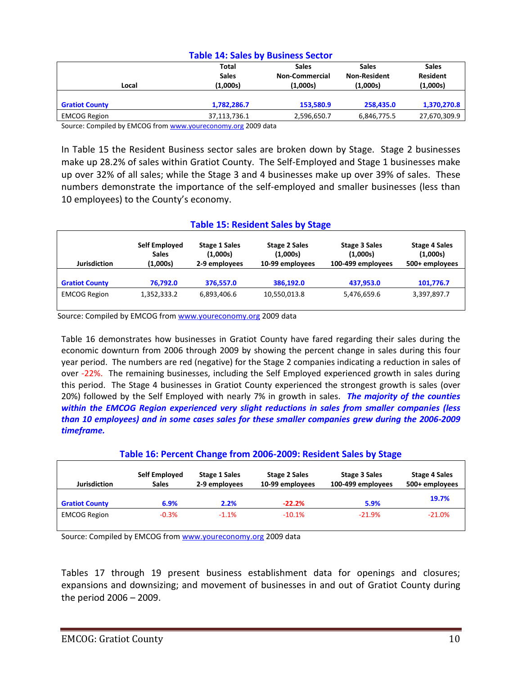| <b>Table 14: Sales by Business Sector</b> |                                          |                                                   |                                                 |                                      |  |  |
|-------------------------------------------|------------------------------------------|---------------------------------------------------|-------------------------------------------------|--------------------------------------|--|--|
| Local                                     | <b>Total</b><br><b>Sales</b><br>(1,000s) | <b>Sales</b><br><b>Non-Commercial</b><br>(1,000s) | <b>Sales</b><br><b>Non-Resident</b><br>(1,000s) | <b>Sales</b><br>Resident<br>(1,000s) |  |  |
| <b>Gratiot County</b>                     | 1,782,286.7                              | 153,580.9                                         | 258,435.0                                       | 1,370,270.8                          |  |  |
| <b>EMCOG Region</b>                       | 37,113,736.1                             | 2,596,650.7                                       | 6,846,775.5                                     | 27,670,309.9                         |  |  |

Source: Compiled by EMCOG fro[m www.youreconomy.org](http://www.youreconomy.org/) 2009 data

In Table 15 the Resident Business sector sales are broken down by Stage. Stage 2 businesses make up 28.2% of sales within Gratiot County. The Self-Employed and Stage 1 businesses make up over 32% of all sales; while the Stage 3 and 4 businesses make up over 39% of sales. These numbers demonstrate the importance of the self-employed and smaller businesses (less than 10 employees) to the County's economy.

#### **Table 15: Resident Sales by Stage**

| <b>Jurisdiction</b>   | Self Employed<br><b>Sales</b><br>(1,000s) | <b>Stage 1 Sales</b><br>(1,000s)<br>2-9 employees | <b>Stage 2 Sales</b><br>(1,000s)<br>10-99 employees | Stage 3 Sales<br>(1,000s)<br>100-499 employees | <b>Stage 4 Sales</b><br>(1,000s)<br>500+ employees |
|-----------------------|-------------------------------------------|---------------------------------------------------|-----------------------------------------------------|------------------------------------------------|----------------------------------------------------|
| <b>Gratiot County</b> | 76.792.0                                  | 376,557.0                                         | 386.192.0                                           | 437.953.0                                      | 101,776.7                                          |
| <b>EMCOG Region</b>   | 1,352,333.2                               | 6,893,406.6                                       | 10,550,013.8                                        | 5,476,659.6                                    | 3,397,897.7                                        |

Source: Compiled by EMCOG from [www.youreconomy.org](http://www.youreconomy.org/) 2009 data

Table 16 demonstrates how businesses in Gratiot County have fared regarding their sales during the economic downturn from 2006 through 2009 by showing the percent change in sales during this four year period. The numbers are red (negative) for the Stage 2 companies indicating a reduction in sales of over -22%. The remaining businesses, including the Self Employed experienced growth in sales during this period. The Stage 4 businesses in Gratiot County experienced the strongest growth is sales (over 20%) followed by the Self Employed with nearly 7% in growth in sales. *The majority of the counties within the EMCOG Region experienced very slight reductions in sales from smaller companies (less than 10 employees) and in some cases sales for these smaller companies grew during the 2006-2009 timeframe.*

## **Table 16: Percent Change from 2006-2009: Resident Sales by Stage**

| <b>Jurisdiction</b>   | Self Employed<br><b>Sales</b> | <b>Stage 1 Sales</b><br>2-9 employees | <b>Stage 2 Sales</b><br>10-99 employees | Stage 3 Sales<br>100-499 employees | <b>Stage 4 Sales</b><br>500+ employees |
|-----------------------|-------------------------------|---------------------------------------|-----------------------------------------|------------------------------------|----------------------------------------|
| <b>Gratiot County</b> | 6.9%                          | 2.2%                                  | $-22.2%$                                | 5.9%                               | 19.7%                                  |
| <b>EMCOG Region</b>   | $-0.3%$                       | $-1.1%$                               | $-10.1\%$                               | $-21.9\%$                          | $-21.0%$                               |

Source: Compiled by EMCOG fro[m www.youreconomy.org](http://www.youreconomy.org/) 2009 data

Tables 17 through 19 present business establishment data for openings and closures; expansions and downsizing; and movement of businesses in and out of Gratiot County during the period 2006 – 2009.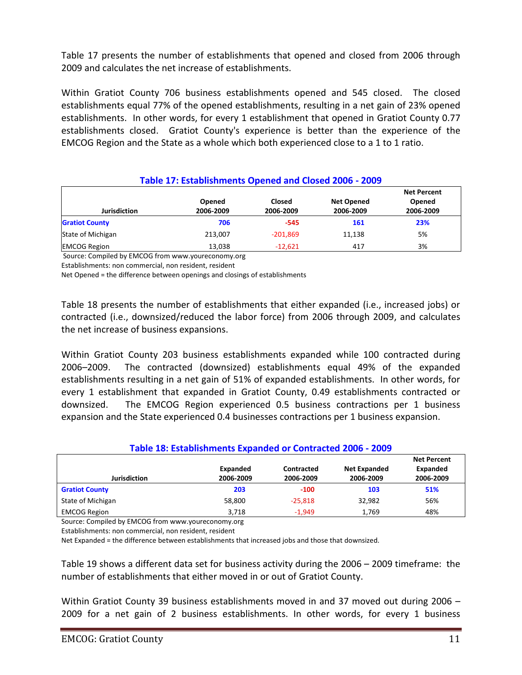Table 17 presents the number of establishments that opened and closed from 2006 through 2009 and calculates the net increase of establishments.

Within Gratiot County 706 business establishments opened and 545 closed. The closed establishments equal 77% of the opened establishments, resulting in a net gain of 23% opened establishments. In other words, for every 1 establishment that opened in Gratiot County 0.77 establishments closed. Gratiot County's experience is better than the experience of the EMCOG Region and the State as a whole which both experienced close to a 1 to 1 ratio.

| Table 17: Establishments Opened and Closed 2006 - 2009 |                     |                            |                                |                                           |  |
|--------------------------------------------------------|---------------------|----------------------------|--------------------------------|-------------------------------------------|--|
| <b>Jurisdiction</b>                                    | Opened<br>2006-2009 | <b>Closed</b><br>2006-2009 | <b>Net Opened</b><br>2006-2009 | <b>Net Percent</b><br>Opened<br>2006-2009 |  |
| <b>Gratiot County</b>                                  | 706                 | $-545$                     | 161                            | 23%                                       |  |
| State of Michigan                                      | 213.007             | $-201,869$                 | 11,138                         | 5%                                        |  |
| <b>EMCOG Region</b>                                    | 13,038              | $-12,621$                  | 417                            | 3%                                        |  |

**Table 17: Establishments Opened and Closed 2006 - 2009**

Source: Compiled by EMCOG from www.youreconomy.org

Establishments: non commercial, non resident, resident

Net Opened = the difference between openings and closings of establishments

Table 18 presents the number of establishments that either expanded (i.e., increased jobs) or contracted (i.e., downsized/reduced the labor force) from 2006 through 2009, and calculates the net increase of business expansions.

Within Gratiot County 203 business establishments expanded while 100 contracted during 2006–2009. The contracted (downsized) establishments equal 49% of the expanded establishments resulting in a net gain of 51% of expanded establishments. In other words, for every 1 establishment that expanded in Gratiot County, 0.49 establishments contracted or downsized. The EMCOG Region experienced 0.5 business contractions per 1 business expansion and the State experienced 0.4 businesses contractions per 1 business expansion.

## **Table 18: Establishments Expanded or Contracted 2006 - 2009**

|                       |           |            |                     | <b>Net Percent</b> |
|-----------------------|-----------|------------|---------------------|--------------------|
|                       | Expanded  | Contracted | <b>Net Expanded</b> | Expanded           |
| <b>Jurisdiction</b>   | 2006-2009 | 2006-2009  | 2006-2009           | 2006-2009          |
| <b>Gratiot County</b> | 203       | $-100$     | 103                 | 51%                |
| State of Michigan     | 58,800    | $-25.818$  | 32,982              | 56%                |
| <b>EMCOG Region</b>   | 3.718     | $-1.949$   | 1.769               | 48%                |

Source: Compiled by EMCOG from www.youreconomy.org

Establishments: non commercial, non resident, resident

Net Expanded = the difference between establishments that increased jobs and those that downsized.

Table 19 shows a different data set for business activity during the 2006 – 2009 timeframe: the number of establishments that either moved in or out of Gratiot County.

Within Gratiot County 39 business establishments moved in and 37 moved out during 2006 -2009 for a net gain of 2 business establishments. In other words, for every 1 business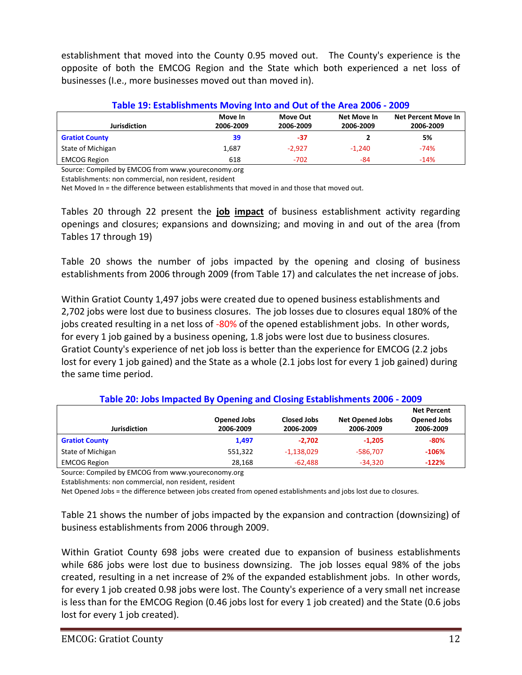establishment that moved into the County 0.95 moved out. The County's experience is the opposite of both the EMCOG Region and the State which both experienced a net loss of businesses (I.e., more businesses moved out than moved in).

| Table 19: Establishments Moving Into and Out of the Area 2006 - 2009 |                      |                       |                          |                                         |  |
|----------------------------------------------------------------------|----------------------|-----------------------|--------------------------|-----------------------------------------|--|
| <b>Jurisdiction</b>                                                  | Move In<br>2006-2009 | Move Out<br>2006-2009 | Net Move In<br>2006-2009 | <b>Net Percent Move In</b><br>2006-2009 |  |
|                                                                      |                      |                       |                          |                                         |  |
| <b>Gratiot County</b>                                                | 39                   | -37                   |                          | 5%                                      |  |
| State of Michigan                                                    | 1,687                | $-2.927$              | $-1.240$                 | $-74%$                                  |  |
| <b>EMCOG Region</b>                                                  | 618                  | $-702$                | -84                      | $-14%$                                  |  |

Source: Compiled by EMCOG from www.youreconomy.org

Establishments: non commercial, non resident, resident

Net Moved In = the difference between establishments that moved in and those that moved out.

Tables 20 through 22 present the **job impact** of business establishment activity regarding openings and closures; expansions and downsizing; and moving in and out of the area (from Tables 17 through 19)

Table 20 shows the number of jobs impacted by the opening and closing of business establishments from 2006 through 2009 (from Table 17) and calculates the net increase of jobs.

Within Gratiot County 1,497 jobs were created due to opened business establishments and 2,702 jobs were lost due to business closures. The job losses due to closures equal 180% of the jobs created resulting in a net loss of -80% of the opened establishment jobs. In other words, for every 1 job gained by a business opening, 1.8 jobs were lost due to business closures. Gratiot County's experience of net job loss is better than the experience for EMCOG (2.2 jobs lost for every 1 job gained) and the State as a whole (2.1 jobs lost for every 1 job gained) during the same time period.

| Table 20: Jobs Impacted By Opening and Closing Establishments 2006 - 2009 |                                 |                                 |                                     |                                                       |  |
|---------------------------------------------------------------------------|---------------------------------|---------------------------------|-------------------------------------|-------------------------------------------------------|--|
| <b>Jurisdiction</b>                                                       | <b>Opened Jobs</b><br>2006-2009 | <b>Closed Jobs</b><br>2006-2009 | <b>Net Opened Jobs</b><br>2006-2009 | <b>Net Percent</b><br><b>Opened Jobs</b><br>2006-2009 |  |
| <b>Gratiot County</b>                                                     | 1,497                           | $-2.702$                        | $-1,205$                            | $-80%$                                                |  |
| State of Michigan                                                         | 551,322                         | $-1,138,029$                    | $-586.707$                          | $-106%$                                               |  |
| <b>EMCOG Region</b>                                                       | 28,168                          | $-62,488$                       | $-34.320$                           | $-122%$                                               |  |

Source: Compiled by EMCOG from www.youreconomy.org

Establishments: non commercial, non resident, resident

Net Opened Jobs = the difference between jobs created from opened establishments and jobs lost due to closures.

Table 21 shows the number of jobs impacted by the expansion and contraction (downsizing) of business establishments from 2006 through 2009.

Within Gratiot County 698 jobs were created due to expansion of business establishments while 686 jobs were lost due to business downsizing. The job losses equal 98% of the jobs created, resulting in a net increase of 2% of the expanded establishment jobs. In other words, for every 1 job created 0.98 jobs were lost. The County's experience of a very small net increase is less than for the EMCOG Region (0.46 jobs lost for every 1 job created) and the State (0.6 jobs lost for every 1 job created).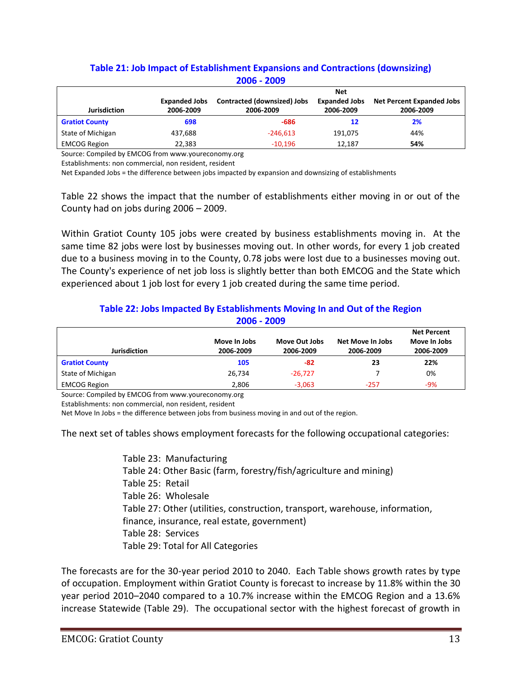| <u> ZUUD - ZUUY</u>   |                      |                             |                      |                                  |  |
|-----------------------|----------------------|-----------------------------|----------------------|----------------------------------|--|
|                       |                      |                             | <b>Net</b>           |                                  |  |
|                       | <b>Expanded Jobs</b> | Contracted (downsized) Jobs | <b>Expanded Jobs</b> | <b>Net Percent Expanded Jobs</b> |  |
| <b>Jurisdiction</b>   | 2006-2009            | 2006-2009                   | 2006-2009            | 2006-2009                        |  |
| <b>Gratiot County</b> | 698                  | -686                        | 12                   | 2%                               |  |
| State of Michigan     | 437,688              | $-246,613$                  | 191,075              | 44%                              |  |
| <b>EMCOG Region</b>   | 22,383               | $-10,196$                   | 12,187               | 54%                              |  |

## **Table 21: Job Impact of Establishment Expansions and Contractions (downsizing) 2006 - 2009**

Source: Compiled by EMCOG from www.youreconomy.org

Establishments: non commercial, non resident, resident

Net Expanded Jobs = the difference between jobs impacted by expansion and downsizing of establishments

Table 22 shows the impact that the number of establishments either moving in or out of the County had on jobs during 2006 – 2009.

Within Gratiot County 105 jobs were created by business establishments moving in. At the same time 82 jobs were lost by businesses moving out. In other words, for every 1 job created due to a business moving in to the County, 0.78 jobs were lost due to a businesses moving out. The County's experience of net job loss is slightly better than both EMCOG and the State which experienced about 1 job lost for every 1 job created during the same time period.

## **Table 22: Jobs Impacted By Establishments Moving In and Out of the Region 2006 - 2009**

| Jurisdiction          | Move In Jobs<br>2006-2009 | Move Out Jobs<br>2006-2009 | Net Move In Jobs<br>2006-2009 | <b>Net Percent</b><br>Move In Jobs<br>2006-2009 |
|-----------------------|---------------------------|----------------------------|-------------------------------|-------------------------------------------------|
| <b>Gratiot County</b> | 105                       | -82                        | 23                            | 22%                                             |
| State of Michigan     | 26,734                    | $-26.727$                  |                               | 0%                                              |
| <b>EMCOG Region</b>   | 2.806                     | $-3.063$                   | $-257$                        | $-9%$                                           |

Source: Compiled by EMCOG from www.youreconomy.org

Establishments: non commercial, non resident, resident

Net Move In Jobs = the difference between jobs from business moving in and out of the region.

The next set of tables shows employment forecasts for the following occupational categories:

Table 23: Manufacturing Table 24: Other Basic (farm, forestry/fish/agriculture and mining) Table 25: Retail Table 26: Wholesale Table 27: Other (utilities, construction, transport, warehouse, information, finance, insurance, real estate, government) Table 28: Services Table 29: Total for All Categories

The forecasts are for the 30-year period 2010 to 2040. Each Table shows growth rates by type of occupation. Employment within Gratiot County is forecast to increase by 11.8% within the 30 year period 2010–2040 compared to a 10.7% increase within the EMCOG Region and a 13.6% increase Statewide (Table 29). The occupational sector with the highest forecast of growth in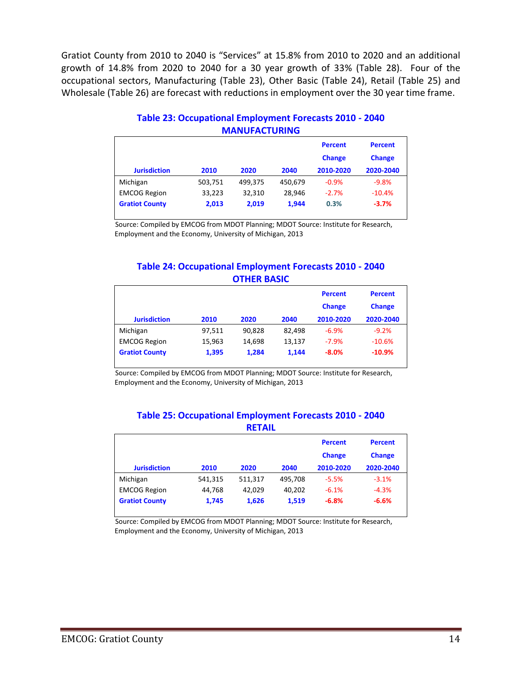Gratiot County from 2010 to 2040 is "Services" at 15.8% from 2010 to 2020 and an additional growth of 14.8% from 2020 to 2040 for a 30 year growth of 33% (Table 28). Four of the occupational sectors, Manufacturing (Table 23), Other Basic (Table 24), Retail (Table 25) and Wholesale (Table 26) are forecast with reductions in employment over the 30 year time frame.

|                       |         |         |         | <b>Percent</b><br><b>Change</b> | <b>Percent</b><br><b>Change</b> |
|-----------------------|---------|---------|---------|---------------------------------|---------------------------------|
| <b>Jurisdiction</b>   | 2010    | 2020    | 2040    | 2010-2020                       | 2020-2040                       |
| Michigan              | 503,751 | 499,375 | 450,679 | $-0.9%$                         | $-9.8%$                         |
| <b>EMCOG Region</b>   | 33,223  | 32,310  | 28.946  | $-2.7%$                         | $-10.4%$                        |
| <b>Gratiot County</b> | 2,013   | 2,019   | 1,944   | 0.3%                            | $-3.7%$                         |

## **Table 23: Occupational Employment Forecasts 2010 - 2040 MANUFACTURING**

Source: Compiled by EMCOG from MDOT Planning; MDOT Source: Institute for Research, Employment and the Economy, University of Michigan, 2013

## **Table 24: Occupational Employment Forecasts 2010 - 2040 OTHER BASIC**

|                       |        |        |        | <b>Percent</b><br><b>Change</b> | <b>Percent</b><br><b>Change</b> |
|-----------------------|--------|--------|--------|---------------------------------|---------------------------------|
| <b>Jurisdiction</b>   | 2010   | 2020   | 2040   | 2010-2020                       | 2020-2040                       |
| Michigan              | 97,511 | 90.828 | 82.498 | $-6.9%$                         | $-9.2%$                         |
| <b>EMCOG Region</b>   | 15,963 | 14.698 | 13,137 | $-7.9%$                         | $-10.6%$                        |
| <b>Gratiot County</b> | 1,395  | 1,284  | 1.144  | $-8.0%$                         | $-10.9%$                        |

Source: Compiled by EMCOG from MDOT Planning; MDOT Source: Institute for Research, Employment and the Economy, University of Michigan, 2013

| Table 25: Occupational Employment Forecasts 2010 - 2040 |
|---------------------------------------------------------|
| <b>RETAIL</b>                                           |

|                       |         |         |         | <b>Percent</b><br><b>Change</b> | <b>Percent</b><br><b>Change</b> |
|-----------------------|---------|---------|---------|---------------------------------|---------------------------------|
| <b>Jurisdiction</b>   | 2010    | 2020    | 2040    | 2010-2020                       | 2020-2040                       |
| Michigan              | 541,315 | 511,317 | 495,708 | $-5.5%$                         | $-3.1%$                         |
| <b>EMCOG Region</b>   | 44,768  | 42.029  | 40.202  | $-6.1%$                         | $-4.3%$                         |
| <b>Gratiot County</b> | 1.745   | 1,626   | 1,519   | $-6.8%$                         | $-6.6%$                         |
|                       |         |         |         |                                 |                                 |

Source: Compiled by EMCOG from MDOT Planning; MDOT Source: Institute for Research, Employment and the Economy, University of Michigan, 2013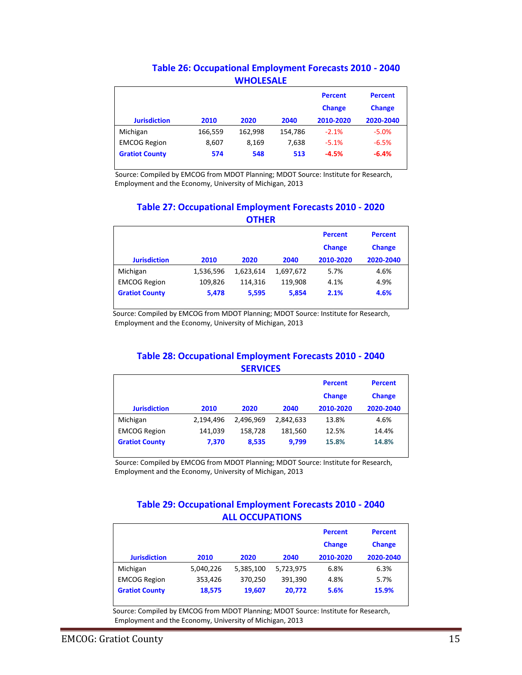## **Table 26: Occupational Employment Forecasts 2010 - 2040 WHOLESALE**

|                       |         |         |         | <b>Percent</b><br><b>Change</b> | <b>Percent</b><br><b>Change</b> |
|-----------------------|---------|---------|---------|---------------------------------|---------------------------------|
| <b>Jurisdiction</b>   | 2010    | 2020    | 2040    | 2010-2020                       | 2020-2040                       |
| Michigan              | 166,559 | 162,998 | 154,786 | $-2.1%$                         | $-5.0%$                         |
| <b>EMCOG Region</b>   | 8,607   | 8,169   | 7,638   | $-5.1%$                         | $-6.5%$                         |
| <b>Gratiot County</b> | 574     | 548     | 513     | $-4.5%$                         | $-6.4%$                         |

Source: Compiled by EMCOG from MDOT Planning; MDOT Source: Institute for Research, Employment and the Economy, University of Michigan, 2013

## **Table 27: Occupational Employment Forecasts 2010 - 2020 OTHER**

|                       |           |           |           | <b>Percent</b><br><b>Change</b> | <b>Percent</b><br><b>Change</b> |
|-----------------------|-----------|-----------|-----------|---------------------------------|---------------------------------|
| <b>Jurisdiction</b>   | 2010      | 2020      | 2040      | 2010-2020                       | 2020-2040                       |
| Michigan              | 1,536,596 | 1,623,614 | 1,697,672 | 5.7%                            | 4.6%                            |
| <b>EMCOG Region</b>   | 109.826   | 114,316   | 119.908   | 4.1%                            | 4.9%                            |
| <b>Gratiot County</b> | 5,478     | 5,595     | 5,854     | 2.1%                            | 4.6%                            |

Source: Compiled by EMCOG from MDOT Planning; MDOT Source: Institute for Research, Employment and the Economy, University of Michigan, 2013

## **Table 28: Occupational Employment Forecasts 2010 - 2040 SERVICES**

|                       |           |           |           | <b>Percent</b><br><b>Change</b> | <b>Percent</b><br><b>Change</b> |
|-----------------------|-----------|-----------|-----------|---------------------------------|---------------------------------|
| <b>Jurisdiction</b>   | 2010      | 2020      | 2040      | 2010-2020                       | 2020-2040                       |
| Michigan              | 2,194,496 | 2.496.969 | 2,842,633 | 13.8%                           | 4.6%                            |
| <b>EMCOG Region</b>   | 141,039   | 158.728   | 181,560   | 12.5%                           | 14.4%                           |
| <b>Gratiot County</b> | 7.370     | 8,535     | 9,799     | 15.8%                           | 14.8%                           |

Source: Compiled by EMCOG from MDOT Planning; MDOT Source: Institute for Research, Employment and the Economy, University of Michigan, 2013

## **Table 29: Occupational Employment Forecasts 2010 - 2040 ALL OCCUPATIONS**

|                       |           |           |           | <b>Percent</b><br><b>Change</b> | <b>Percent</b><br><b>Change</b> |
|-----------------------|-----------|-----------|-----------|---------------------------------|---------------------------------|
| <b>Jurisdiction</b>   | 2010      | 2020      | 2040      | 2010-2020                       | 2020-2040                       |
| Michigan              | 5,040,226 | 5,385,100 | 5,723,975 | 6.8%                            | 6.3%                            |
| <b>EMCOG Region</b>   | 353,426   | 370.250   | 391,390   | 4.8%                            | 5.7%                            |
| <b>Gratiot County</b> | 18,575    | 19.607    | 20.772    | 5.6%                            | 15.9%                           |

 Source: Compiled by EMCOG from MDOT Planning; MDOT Source: Institute for Research, Employment and the Economy, University of Michigan, 2013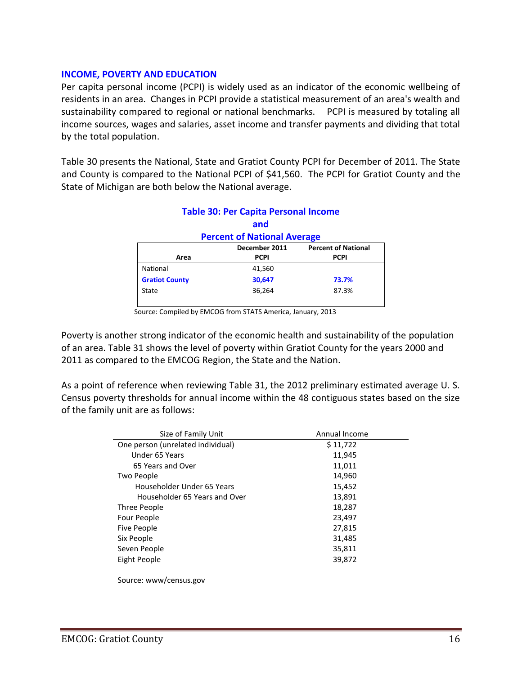### **INCOME, POVERTY AND EDUCATION**

Per capita personal income (PCPI) is widely used as an indicator of the economic wellbeing of residents in an area. Changes in PCPI provide a statistical measurement of an area's wealth and sustainability compared to regional or national benchmarks. PCPI is measured by totaling all income sources, wages and salaries, asset income and transfer payments and dividing that total by the total population.

Table 30 presents the National, State and Gratiot County PCPI for December of 2011. The State and County is compared to the National PCPI of \$41,560. The PCPI for Gratiot County and the State of Michigan are both below the National average.

|                                             | <b>Table 30: Per Capita Personal Income</b> |             |  |  |  |
|---------------------------------------------|---------------------------------------------|-------------|--|--|--|
|                                             | and                                         |             |  |  |  |
| <b>Percent of National Average</b>          |                                             |             |  |  |  |
| <b>Percent of National</b><br>December 2011 |                                             |             |  |  |  |
| Area                                        | <b>PCPI</b>                                 | <b>PCPI</b> |  |  |  |
| National                                    | 41,560                                      |             |  |  |  |
| <b>Gratiot County</b>                       | 30,647                                      | 73.7%       |  |  |  |
| State                                       | 36,264                                      | 87.3%       |  |  |  |
|                                             |                                             |             |  |  |  |

Source: Compiled by EMCOG from STATS America, January, 2013

Poverty is another strong indicator of the economic health and sustainability of the population of an area. Table 31 shows the level of poverty within Gratiot County for the years 2000 and 2011 as compared to the EMCOG Region, the State and the Nation.

As a point of reference when reviewing Table 31, the 2012 preliminary estimated average U. S. Census poverty thresholds for annual income within the 48 contiguous states based on the size of the family unit are as follows:

| Size of Family Unit               | Annual Income |
|-----------------------------------|---------------|
| One person (unrelated individual) | \$11,722      |
| Under 65 Years                    | 11,945        |
| 65 Years and Over                 | 11,011        |
| Two People                        | 14,960        |
| Householder Under 65 Years        | 15,452        |
| Householder 65 Years and Over     | 13,891        |
| Three People                      | 18,287        |
| Four People                       | 23,497        |
| Five People                       | 27,815        |
| Six People                        | 31,485        |
| Seven People                      | 35,811        |
| Eight People                      | 39,872        |
|                                   |               |

Source: www/census.gov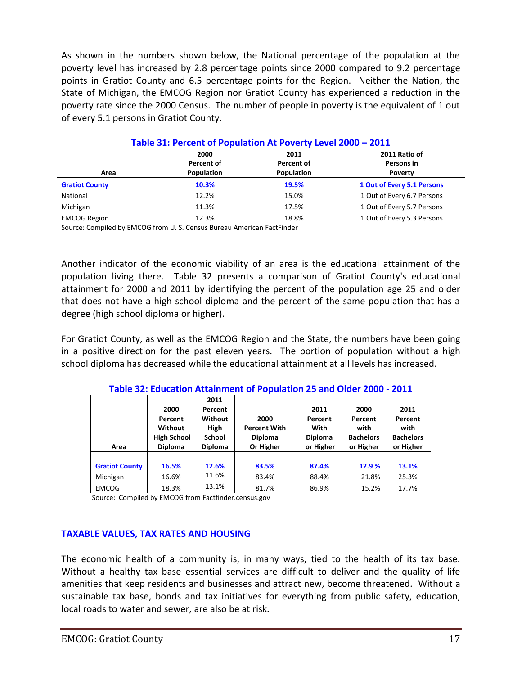As shown in the numbers shown below, the National percentage of the population at the poverty level has increased by 2.8 percentage points since 2000 compared to 9.2 percentage points in Gratiot County and 6.5 percentage points for the Region. Neither the Nation, the State of Michigan, the EMCOG Region nor Gratiot County has experienced a reduction in the poverty rate since the 2000 Census. The number of people in poverty is the equivalent of 1 out of every 5.1 persons in Gratiot County.

| Table 31: Percent of Population At Poverty Level 2000 - 2011 |            |            |                            |  |
|--------------------------------------------------------------|------------|------------|----------------------------|--|
|                                                              | 2000       | 2011       | 2011 Ratio of              |  |
|                                                              | Percent of | Percent of | Persons in                 |  |
| Area                                                         | Population | Population | Poverty                    |  |
| <b>Gratiot County</b>                                        | 10.3%      | 19.5%      | 1 Out of Every 5.1 Persons |  |
| National                                                     | 12.2%      | 15.0%      | 1 Out of Every 6.7 Persons |  |
| Michigan                                                     | 11.3%      | 17.5%      | 1 Out of Every 5.7 Persons |  |
| <b>EMCOG Region</b>                                          | 12.3%      | 18.8%      | 1 Out of Every 5.3 Persons |  |

**Table 31: Percent of Population At Poverty Level 2000 – 2011**

Source: Compiled by EMCOG from U. S. Census Bureau American FactFinder

Another indicator of the economic viability of an area is the educational attainment of the population living there. Table 32 presents a comparison of Gratiot County's educational attainment for 2000 and 2011 by identifying the percent of the population age 25 and older that does not have a high school diploma and the percent of the same population that has a degree (high school diploma or higher).

For Gratiot County, as well as the EMCOG Region and the State, the numbers have been going in a positive direction for the past eleven years. The portion of population without a high school diploma has decreased while the educational attainment at all levels has increased.

| Area                  | 2000<br>Percent<br><b>Without</b><br><b>High School</b><br><b>Diploma</b> | 2011<br>Percent<br>Without<br><b>High</b><br><b>School</b><br><b>Diploma</b> | 2000<br><b>Percent With</b><br><b>Diploma</b><br>Or Higher | 2011<br>Percent<br>With<br><b>Diploma</b><br>or Higher | 2000<br>Percent<br>with<br><b>Bachelors</b><br>or Higher | 2011<br>Percent<br>with<br><b>Bachelors</b><br>or Higher |  |
|-----------------------|---------------------------------------------------------------------------|------------------------------------------------------------------------------|------------------------------------------------------------|--------------------------------------------------------|----------------------------------------------------------|----------------------------------------------------------|--|
|                       |                                                                           |                                                                              |                                                            |                                                        |                                                          |                                                          |  |
| <b>Gratiot County</b> | 16.5%                                                                     | 12.6%                                                                        | 83.5%                                                      | 87.4%                                                  | 12.9%                                                    | 13.1%                                                    |  |
| Michigan              | 16.6%                                                                     | 11.6%                                                                        | 83.4%                                                      | 88.4%                                                  | 21.8%                                                    | 25.3%                                                    |  |
| <b>EMCOG</b>          | 18.3%                                                                     | 13.1%                                                                        | 81.7%                                                      | 86.9%                                                  | 15.2%                                                    | 17.7%                                                    |  |

## **Table 32: Education Attainment of Population 25 and Older 2000 - 2011**

Source: Compiled by EMCOG from Factfinder.census.gov

## **TAXABLE VALUES, TAX RATES AND HOUSING**

The economic health of a community is, in many ways, tied to the health of its tax base. Without a healthy tax base essential services are difficult to deliver and the quality of life amenities that keep residents and businesses and attract new, become threatened. Without a sustainable tax base, bonds and tax initiatives for everything from public safety, education, local roads to water and sewer, are also be at risk.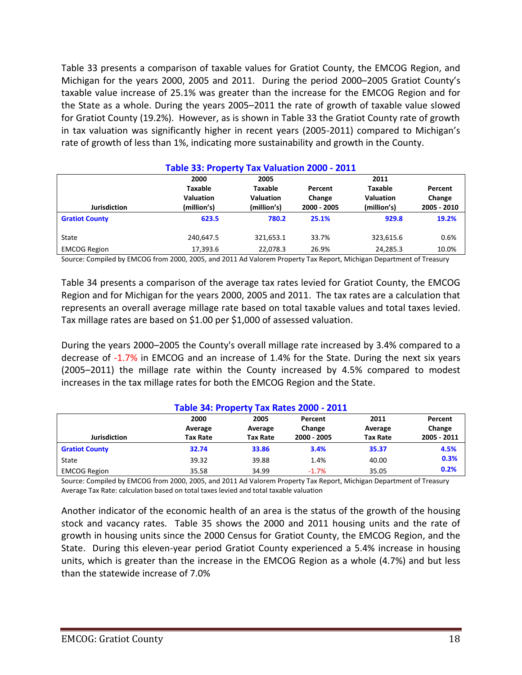Table 33 presents a comparison of taxable values for Gratiot County, the EMCOG Region, and Michigan for the years 2000, 2005 and 2011. During the period 2000–2005 Gratiot County's taxable value increase of 25.1% was greater than the increase for the EMCOG Region and for the State as a whole. During the years 2005–2011 the rate of growth of taxable value slowed for Gratiot County (19.2%). However, as is shown in Table 33 the Gratiot County rate of growth in tax valuation was significantly higher in recent years (2005-2011) compared to Michigan's rate of growth of less than 1%, indicating more sustainability and growth in the County.

| Table 33: Property Tax Valuation 2000 - 2011 |                  |                  |             |                  |             |  |
|----------------------------------------------|------------------|------------------|-------------|------------------|-------------|--|
|                                              | 2000             | 2005             |             | 2011             |             |  |
|                                              | <b>Taxable</b>   | <b>Taxable</b>   | Percent     | <b>Taxable</b>   | Percent     |  |
|                                              | <b>Valuation</b> | <b>Valuation</b> | Change      | <b>Valuation</b> | Change      |  |
| <b>Jurisdiction</b>                          | (million's)      | (million's)      | 2000 - 2005 | (million's)      | 2005 - 2010 |  |
| <b>Gratiot County</b>                        | 623.5            | 780.2            | 25.1%       | 929.8            | 19.2%       |  |
| State                                        | 240,647.5        | 321,653.1        | 33.7%       | 323,615.6        | 0.6%        |  |
| <b>EMCOG Region</b>                          | 17,393.6         | 22,078.3         | 26.9%       | 24,285.3         | 10.0%       |  |

## **Table 33: Property Tax Valuation 2000 - 2011**

Source: Compiled by EMCOG from 2000, 2005, and 2011 Ad Valorem Property Tax Report, Michigan Department of Treasury

Table 34 presents a comparison of the average tax rates levied for Gratiot County, the EMCOG Region and for Michigan for the years 2000, 2005 and 2011. The tax rates are a calculation that represents an overall average millage rate based on total taxable values and total taxes levied. Tax millage rates are based on \$1.00 per \$1,000 of assessed valuation.

During the years 2000–2005 the County's overall millage rate increased by 3.4% compared to a decrease of -1.7% in EMCOG and an increase of 1.4% for the State. During the next six years (2005–2011) the millage rate within the County increased by 4.5% compared to modest increases in the tax millage rates for both the EMCOG Region and the State.

| Table 34: Property Tax Rates 2000 - 2011 |                                    |                                    |                                  |                                    |                                  |  |
|------------------------------------------|------------------------------------|------------------------------------|----------------------------------|------------------------------------|----------------------------------|--|
| <b>Jurisdiction</b>                      | 2000<br>Average<br><b>Tax Rate</b> | 2005<br>Average<br><b>Tax Rate</b> | Percent<br>Change<br>2000 - 2005 | 2011<br>Average<br><b>Tax Rate</b> | Percent<br>Change<br>2005 - 2011 |  |
| <b>Gratiot County</b>                    | 32.74                              | 33.86                              | 3.4%                             | 35.37                              | 4.5%                             |  |
| State                                    | 39.32                              | 39.88                              | 1.4%                             | 40.00                              | 0.3%                             |  |
| <b>EMCOG Region</b>                      | 35.58                              | 34.99                              | $-1.7%$                          | 35.05                              | 0.2%                             |  |

Source: Compiled by EMCOG from 2000, 2005, and 2011 Ad Valorem Property Tax Report, Michigan Department of Treasury Average Tax Rate: calculation based on total taxes levied and total taxable valuation

Another indicator of the economic health of an area is the status of the growth of the housing stock and vacancy rates. Table 35 shows the 2000 and 2011 housing units and the rate of growth in housing units since the 2000 Census for Gratiot County, the EMCOG Region, and the State. During this eleven-year period Gratiot County experienced a 5.4% increase in housing units, which is greater than the increase in the EMCOG Region as a whole (4.7%) and but less than the statewide increase of 7.0%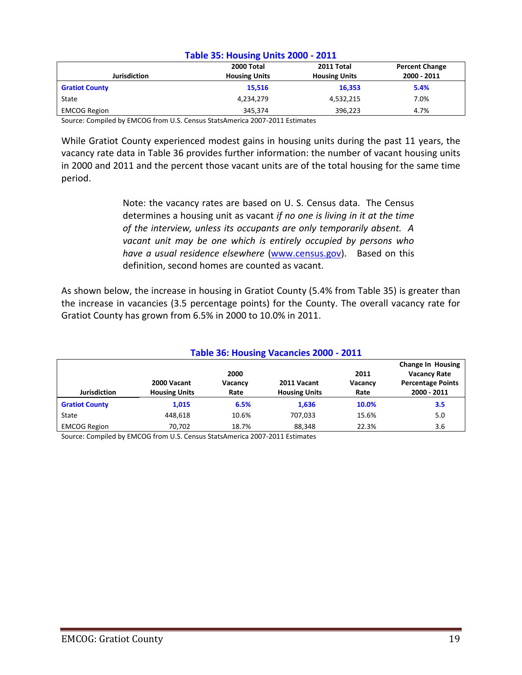| Table 35: Housing Units 2000 - 2011 |                          |                      |                       |  |  |
|-------------------------------------|--------------------------|----------------------|-----------------------|--|--|
|                                     | 2011 Total<br>2000 Total |                      | <b>Percent Change</b> |  |  |
| <b>Jurisdiction</b>                 | <b>Housing Units</b>     | <b>Housing Units</b> | 2000 - 2011           |  |  |
| <b>Gratiot County</b>               | 15,516                   | 16,353               | 5.4%                  |  |  |
| State                               | 4,234,279                | 4,532,215            | 7.0%                  |  |  |
| <b>EMCOG Region</b>                 | 345,374                  | 396,223              | 4.7%                  |  |  |

## **Table 35: Housing Units 2000 - 2011**

Source: Compiled by EMCOG from U.S. Census StatsAmerica 2007-2011 Estimates

While Gratiot County experienced modest gains in housing units during the past 11 years, the vacancy rate data in Table 36 provides further information: the number of vacant housing units in 2000 and 2011 and the percent those vacant units are of the total housing for the same time period.

> Note: the vacancy rates are based on U. S. Census data. The Census determines a housing unit as vacant *if no one is living in it at the time of the interview, unless its occupants are only temporarily absent. A vacant unit may be one which is entirely occupied by persons who have a usual residence elsewhere* [\(www.census.gov\)](http://www.census.gov/). Based on this definition, second homes are counted as vacant.

As shown below, the increase in housing in Gratiot County (5.4% from Table 35) is greater than the increase in vacancies (3.5 percentage points) for the County. The overall vacancy rate for Gratiot County has grown from 6.5% in 2000 to 10.0% in 2011.

| Table 36: Housing Vacancies 2000 - 2011 |                                     |                         |                                     |                         |                                                                                            |
|-----------------------------------------|-------------------------------------|-------------------------|-------------------------------------|-------------------------|--------------------------------------------------------------------------------------------|
| <b>Jurisdiction</b>                     | 2000 Vacant<br><b>Housing Units</b> | 2000<br>Vacancy<br>Rate | 2011 Vacant<br><b>Housing Units</b> | 2011<br>Vacancy<br>Rate | <b>Change In Housing</b><br><b>Vacancy Rate</b><br><b>Percentage Points</b><br>2000 - 2011 |
| <b>Gratiot County</b>                   | 1,015                               | 6.5%                    | 1,636                               | 10.0%                   | 3.5                                                                                        |
| State                                   | 448.618                             | 10.6%                   | 707.033                             | 15.6%                   | 5.0                                                                                        |
| <b>EMCOG Region</b>                     | 70,702                              | 18.7%                   | 88,348                              | 22.3%                   | 3.6                                                                                        |

Source: Compiled by EMCOG from U.S. Census StatsAmerica 2007-2011 Estimates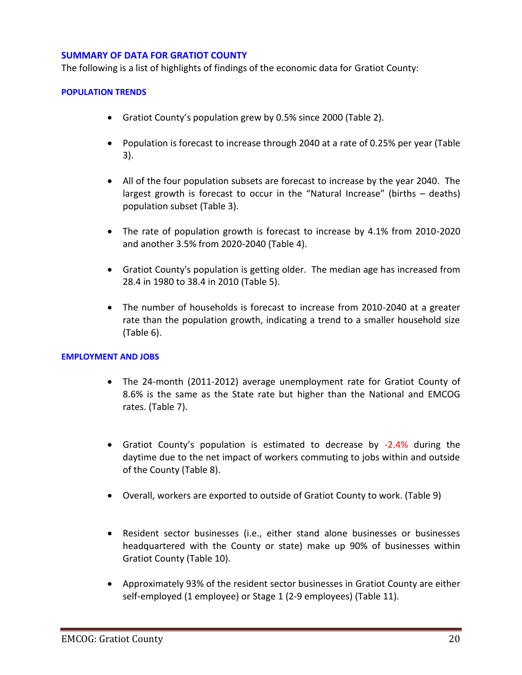## **SUMMARY OF DATA FOR GRATIOT COUNTY**

The following is a list of highlights of findings of the economic data for Gratiot County:

### **POPULATION TRENDS**

- Gratiot County's population grew by 0.5% since 2000 (Table 2).
- Population is forecast to increase through 2040 at a rate of 0.25% per year (Table 3).
- All of the four population subsets are forecast to increase by the year 2040. The largest growth is forecast to occur in the "Natural Increase" (births – deaths) population subset (Table 3).
- The rate of population growth is forecast to increase by 4.1% from 2010-2020 and another 3.5% from 2020-2040 (Table 4).
- Gratiot County's population is getting older. The median age has increased from 28.4 in 1980 to 38.4 in 2010 (Table 5).
- The number of households is forecast to increase from 2010-2040 at a greater rate than the population growth, indicating a trend to a smaller household size (Table 6).

#### **EMPLOYMENT AND JOBS**

- The 24-month (2011-2012) average unemployment rate for Gratiot County of 8.6% is the same as the State rate but higher than the National and EMCOG rates. (Table 7).
- Gratiot County's population is estimated to decrease by -2.4% during the daytime due to the net impact of workers commuting to jobs within and outside of the County (Table 8).
- Overall, workers are exported to outside of Gratiot County to work. (Table 9)
- Resident sector businesses (i.e., either stand alone businesses or businesses headquartered with the County or state) make up 90% of businesses within Gratiot County (Table 10).
- Approximately 93% of the resident sector businesses in Gratiot County are either self-employed (1 employee) or Stage 1 (2-9 employees) (Table 11).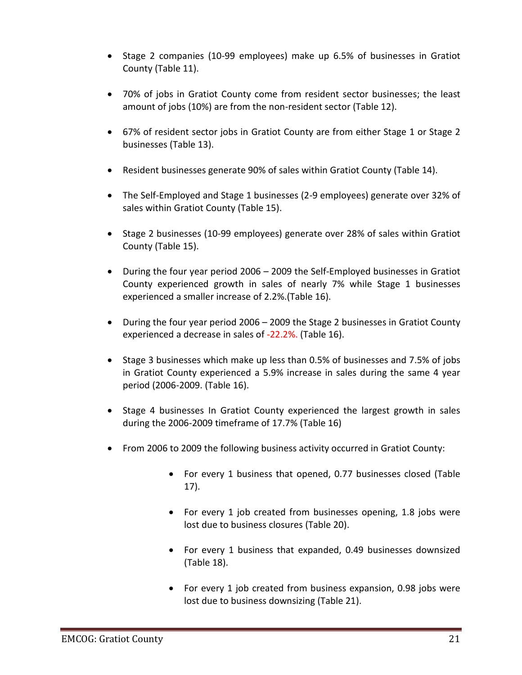- Stage 2 companies (10-99 employees) make up 6.5% of businesses in Gratiot County (Table 11).
- 70% of jobs in Gratiot County come from resident sector businesses; the least amount of jobs (10%) are from the non-resident sector (Table 12).
- 67% of resident sector jobs in Gratiot County are from either Stage 1 or Stage 2 businesses (Table 13).
- Resident businesses generate 90% of sales within Gratiot County (Table 14).
- The Self-Employed and Stage 1 businesses (2-9 employees) generate over 32% of sales within Gratiot County (Table 15).
- Stage 2 businesses (10-99 employees) generate over 28% of sales within Gratiot County (Table 15).
- During the four year period 2006 2009 the Self-Employed businesses in Gratiot County experienced growth in sales of nearly 7% while Stage 1 businesses experienced a smaller increase of 2.2%.(Table 16).
- During the four year period 2006 2009 the Stage 2 businesses in Gratiot County experienced a decrease in sales of -22.2%. (Table 16).
- Stage 3 businesses which make up less than 0.5% of businesses and 7.5% of jobs in Gratiot County experienced a 5.9% increase in sales during the same 4 year period (2006-2009. (Table 16).
- Stage 4 businesses In Gratiot County experienced the largest growth in sales during the 2006-2009 timeframe of 17.7% (Table 16)
- From 2006 to 2009 the following business activity occurred in Gratiot County:
	- For every 1 business that opened, 0.77 businesses closed (Table 17).
	- For every 1 job created from businesses opening, 1.8 jobs were lost due to business closures (Table 20).
	- For every 1 business that expanded, 0.49 businesses downsized (Table 18).
	- For every 1 job created from business expansion, 0.98 jobs were lost due to business downsizing (Table 21).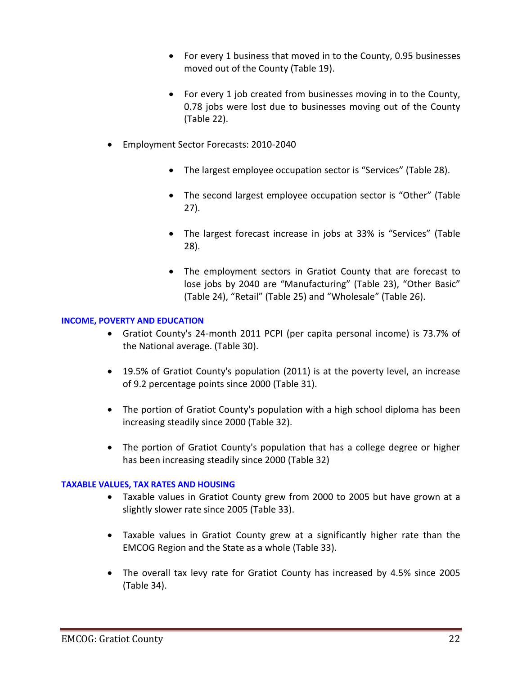- For every 1 business that moved in to the County, 0.95 businesses moved out of the County (Table 19).
- For every 1 job created from businesses moving in to the County, 0.78 jobs were lost due to businesses moving out of the County (Table 22).
- Employment Sector Forecasts: 2010-2040
	- The largest employee occupation sector is "Services" (Table 28).
	- The second largest employee occupation sector is "Other" (Table 27).
	- The largest forecast increase in jobs at 33% is "Services" (Table 28).
	- The employment sectors in Gratiot County that are forecast to lose jobs by 2040 are "Manufacturing" (Table 23), "Other Basic" (Table 24), "Retail" (Table 25) and "Wholesale" (Table 26).

## **INCOME, POVERTY AND EDUCATION**

- Gratiot County's 24-month 2011 PCPI (per capita personal income) is 73.7% of the National average. (Table 30).
- 19.5% of Gratiot County's population (2011) is at the poverty level, an increase of 9.2 percentage points since 2000 (Table 31).
- The portion of Gratiot County's population with a high school diploma has been increasing steadily since 2000 (Table 32).
- The portion of Gratiot County's population that has a college degree or higher has been increasing steadily since 2000 (Table 32)

## **TAXABLE VALUES, TAX RATES AND HOUSING**

- Taxable values in Gratiot County grew from 2000 to 2005 but have grown at a slightly slower rate since 2005 (Table 33).
- Taxable values in Gratiot County grew at a significantly higher rate than the EMCOG Region and the State as a whole (Table 33).
- The overall tax levy rate for Gratiot County has increased by 4.5% since 2005 (Table 34).